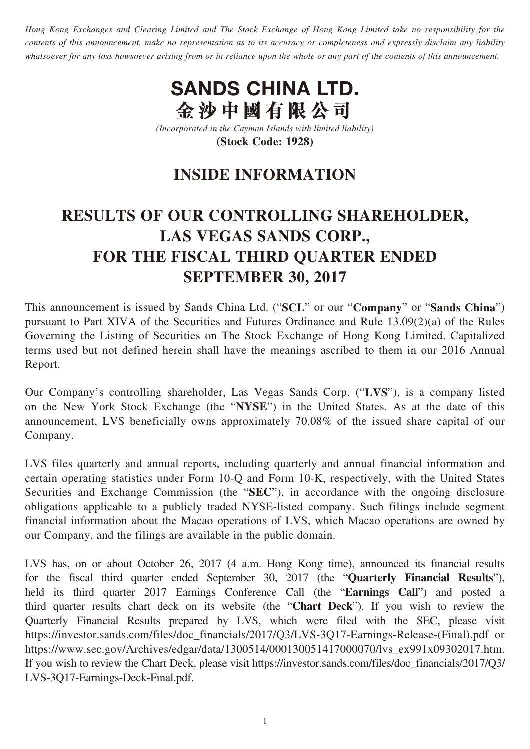*Hong Kong Exchanges and Clearing Limited and The Stock Exchange of Hong Kong Limited take no responsibility for the contents of this announcement, make no representation as to its accuracy or completeness and expressly disclaim any liability whatsoever for any loss howsoever arising from or in reliance upon the whole or any part of the contents of this announcement.*



*(Incorporated in the Cayman Islands with limited liability)* **(Stock Code: 1928)**

## **INSIDE INFORMATION**

# **RESULTS OF OUR CONTROLLING SHAREHOLDER, LAS VEGAS SANDS CORP., FOR THE FISCAL THIRD QUARTER ENDED SEPTEMBER 30, 2017**

This announcement is issued by Sands China Ltd. ("**SCL**" or our "**Company**" or "**Sands China**") pursuant to Part XIVA of the Securities and Futures Ordinance and Rule 13.09(2)(a) of the Rules Governing the Listing of Securities on The Stock Exchange of Hong Kong Limited. Capitalized terms used but not defined herein shall have the meanings ascribed to them in our 2016 Annual Report.

Our Company's controlling shareholder, Las Vegas Sands Corp. ("**LVS**"), is a company listed on the New York Stock Exchange (the "**NYSE**") in the United States. As at the date of this announcement, LVS beneficially owns approximately 70.08% of the issued share capital of our Company.

LVS files quarterly and annual reports, including quarterly and annual financial information and certain operating statistics under Form 10-Q and Form 10-K, respectively, with the United States Securities and Exchange Commission (the "**SEC**"), in accordance with the ongoing disclosure obligations applicable to a publicly traded NYSE-listed company. Such filings include segment financial information about the Macao operations of LVS, which Macao operations are owned by our Company, and the filings are available in the public domain.

LVS has, on or about October 26, 2017 (4 a.m. Hong Kong time), announced its financial results for the fiscal third quarter ended September 30, 2017 (the "**Quarterly Financial Results**"), held its third quarter 2017 Earnings Conference Call (the "**Earnings Call**") and posted a third quarter results chart deck on its website (the "**Chart Deck**"). If you wish to review the Quarterly Financial Results prepared by LVS, which were filed with the SEC, please visit [https://investor.sands.com/files/doc\\_financials/2017/Q3/LVS-3Q17-Earnings-Release-\(Final\).pdf](https://investor.sands.com/files/doc_financials/2017/Q3/LVS-3Q17-Earnings-Release-(Final).pdf) or [https://www.sec.gov/Archives/edgar/data/1300514/000130051417000070/lvs\\_ex991x09302017.htm.](https://www.sec.gov/Archives/edgar/data/1300514/000130051417000070/lvs_ex991x09302017.htm) If you wish to review the Chart Deck, please visit [https://investor.sands.com/files/doc\\_financials/2017/Q3/](https://investor.sands.com/files/doc_financials/2017/Q3/LVS-3Q17-Earnings-Deck-Final.pdf) [LVS-3Q17-Earnings-Deck-Final.pdf.](https://investor.sands.com/files/doc_financials/2017/Q3/LVS-3Q17-Earnings-Deck-Final.pdf)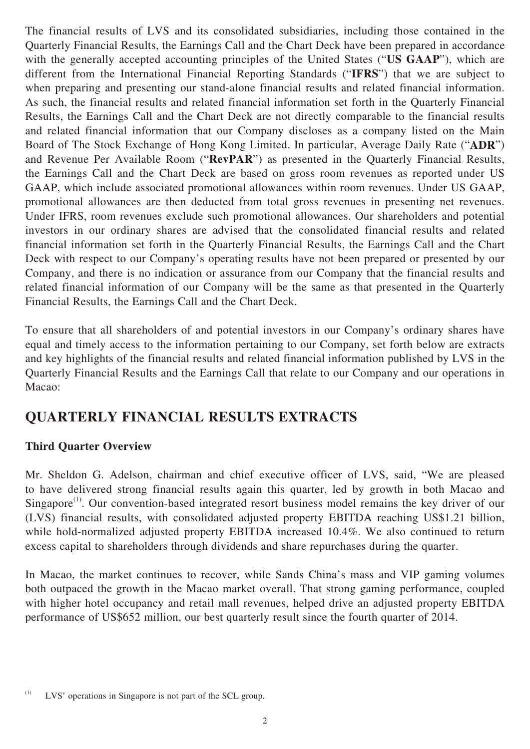The financial results of LVS and its consolidated subsidiaries, including those contained in the Quarterly Financial Results, the Earnings Call and the Chart Deck have been prepared in accordance with the generally accepted accounting principles of the United States ("**US GAAP**"), which are different from the International Financial Reporting Standards ("**IFRS**") that we are subject to when preparing and presenting our stand-alone financial results and related financial information. As such, the financial results and related financial information set forth in the Quarterly Financial Results, the Earnings Call and the Chart Deck are not directly comparable to the financial results and related financial information that our Company discloses as a company listed on the Main Board of The Stock Exchange of Hong Kong Limited. In particular, Average Daily Rate ("**ADR**") and Revenue Per Available Room ("**RevPAR**") as presented in the Quarterly Financial Results, the Earnings Call and the Chart Deck are based on gross room revenues as reported under US GAAP, which include associated promotional allowances within room revenues. Under US GAAP, promotional allowances are then deducted from total gross revenues in presenting net revenues. Under IFRS, room revenues exclude such promotional allowances. Our shareholders and potential investors in our ordinary shares are advised that the consolidated financial results and related financial information set forth in the Quarterly Financial Results, the Earnings Call and the Chart Deck with respect to our Company's operating results have not been prepared or presented by our Company, and there is no indication or assurance from our Company that the financial results and related financial information of our Company will be the same as that presented in the Quarterly Financial Results, the Earnings Call and the Chart Deck.

To ensure that all shareholders of and potential investors in our Company's ordinary shares have equal and timely access to the information pertaining to our Company, set forth below are extracts and key highlights of the financial results and related financial information published by LVS in the Quarterly Financial Results and the Earnings Call that relate to our Company and our operations in Macao:

### **QUARTERLY FINANCIAL RESULTS EXTRACTS**

#### **Third Quarter Overview**

Mr. Sheldon G. Adelson, chairman and chief executive officer of LVS, said, "We are pleased to have delivered strong financial results again this quarter, led by growth in both Macao and Singapore<sup>(1)</sup>. Our convention-based integrated resort business model remains the key driver of our (LVS) financial results, with consolidated adjusted property EBITDA reaching US\$1.21 billion, while hold-normalized adjusted property EBITDA increased 10.4%. We also continued to return excess capital to shareholders through dividends and share repurchases during the quarter.

In Macao, the market continues to recover, while Sands China's mass and VIP gaming volumes both outpaced the growth in the Macao market overall. That strong gaming performance, coupled with higher hotel occupancy and retail mall revenues, helped drive an adjusted property EBITDA performance of US\$652 million, our best quarterly result since the fourth quarter of 2014.

<sup>(1)</sup> LVS' operations in Singapore is not part of the SCL group.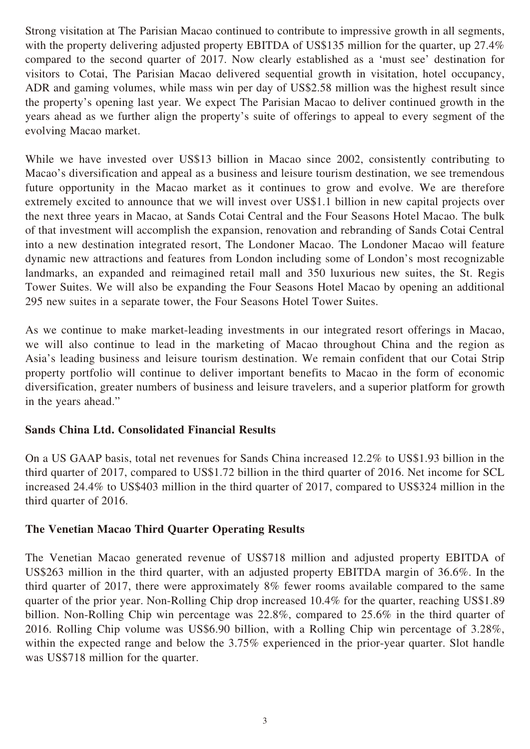Strong visitation at The Parisian Macao continued to contribute to impressive growth in all segments, with the property delivering adjusted property EBITDA of US\$135 million for the quarter, up 27.4% compared to the second quarter of 2017. Now clearly established as a 'must see' destination for visitors to Cotai, The Parisian Macao delivered sequential growth in visitation, hotel occupancy, ADR and gaming volumes, while mass win per day of US\$2.58 million was the highest result since the property's opening last year. We expect The Parisian Macao to deliver continued growth in the years ahead as we further align the property's suite of offerings to appeal to every segment of the evolving Macao market.

While we have invested over US\$13 billion in Macao since 2002, consistently contributing to Macao's diversification and appeal as a business and leisure tourism destination, we see tremendous future opportunity in the Macao market as it continues to grow and evolve. We are therefore extremely excited to announce that we will invest over US\$1.1 billion in new capital projects over the next three years in Macao, at Sands Cotai Central and the Four Seasons Hotel Macao. The bulk of that investment will accomplish the expansion, renovation and rebranding of Sands Cotai Central into a new destination integrated resort, The Londoner Macao. The Londoner Macao will feature dynamic new attractions and features from London including some of London's most recognizable landmarks, an expanded and reimagined retail mall and 350 luxurious new suites, the St. Regis Tower Suites. We will also be expanding the Four Seasons Hotel Macao by opening an additional 295 new suites in a separate tower, the Four Seasons Hotel Tower Suites.

As we continue to make market-leading investments in our integrated resort offerings in Macao, we will also continue to lead in the marketing of Macao throughout China and the region as Asia's leading business and leisure tourism destination. We remain confident that our Cotai Strip property portfolio will continue to deliver important benefits to Macao in the form of economic diversification, greater numbers of business and leisure travelers, and a superior platform for growth in the years ahead."

#### **Sands China Ltd. Consolidated Financial Results**

On a US GAAP basis, total net revenues for Sands China increased 12.2% to US\$1.93 billion in the third quarter of 2017, compared to US\$1.72 billion in the third quarter of 2016. Net income for SCL increased 24.4% to US\$403 million in the third quarter of 2017, compared to US\$324 million in the third quarter of 2016.

#### **The Venetian Macao Third Quarter Operating Results**

The Venetian Macao generated revenue of US\$718 million and adjusted property EBITDA of US\$263 million in the third quarter, with an adjusted property EBITDA margin of 36.6%. In the third quarter of 2017, there were approximately 8% fewer rooms available compared to the same quarter of the prior year. Non-Rolling Chip drop increased 10.4% for the quarter, reaching US\$1.89 billion. Non-Rolling Chip win percentage was 22.8%, compared to 25.6% in the third quarter of 2016. Rolling Chip volume was US\$6.90 billion, with a Rolling Chip win percentage of 3.28%, within the expected range and below the 3.75% experienced in the prior-year quarter. Slot handle was US\$718 million for the quarter.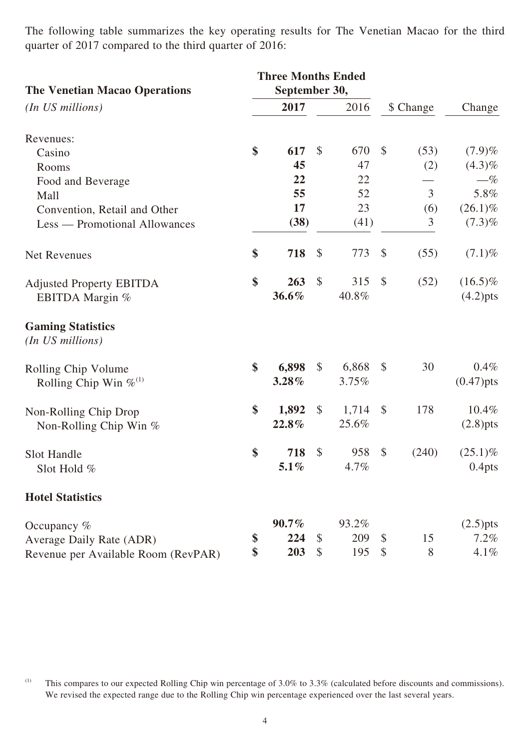The following table summarizes the key operating results for The Venetian Macao for the third quarter of 2017 compared to the third quarter of 2016:

| <b>The Venetian Macao Operations</b>         | <b>Three Months Ended</b><br>September 30, |          |               |       |                            |                |                    |
|----------------------------------------------|--------------------------------------------|----------|---------------|-------|----------------------------|----------------|--------------------|
| (In US millions)                             |                                            | 2017     |               | 2016  | \$ Change                  |                | Change             |
| Revenues:                                    |                                            |          |               |       |                            |                |                    |
| Casino                                       | \$                                         | 617      | $\mathcal{S}$ | 670   | $\mathcal{S}$              | (53)           | (7.9)%             |
| Rooms                                        |                                            | 45       |               | 47    |                            | (2)            | $(4.3)\%$          |
| Food and Beverage                            |                                            | 22       |               | 22    |                            |                | $-\%$              |
| Mall                                         |                                            | 55       |               | 52    |                            | 3              | 5.8%               |
| Convention, Retail and Other                 |                                            | 17       |               | 23    |                            | (6)            | $(26.1)\%$         |
| Less — Promotional Allowances                |                                            | (38)     |               | (41)  |                            | $\mathfrak{Z}$ | $(7.3)\%$          |
| Net Revenues                                 | \$                                         | 718      | $\mathcal{S}$ | 773   | $\boldsymbol{\mathsf{S}}$  | (55)           | $(7.1)\%$          |
| <b>Adjusted Property EBITDA</b>              | \$                                         | 263      | $\mathcal{S}$ | 315   | $\mathcal{S}$              | (52)           | $(16.5)\%$         |
| EBITDA Margin %                              |                                            | 36.6%    |               | 40.8% |                            |                | $(4.2)$ pts        |
| <b>Gaming Statistics</b><br>(In US millions) |                                            |          |               |       |                            |                |                    |
| Rolling Chip Volume                          | \$                                         | 6,898    | $\mathcal{S}$ | 6,868 | $\mathcal{S}$              | 30             | 0.4%               |
| Rolling Chip Win $\%^{(1)}$                  |                                            | 3.28%    |               | 3.75% |                            |                | $(0.47)$ pts       |
| Non-Rolling Chip Drop                        | \$                                         | 1,892    | $\mathcal{S}$ | 1,714 | $\mathcal{S}$              | 178            | $10.4\%$           |
| Non-Rolling Chip Win %                       |                                            | 22.8%    |               | 25.6% |                            |                | $(2.8)$ pts        |
| <b>Slot Handle</b>                           | \$                                         | 718      | $\mathcal{S}$ | 958   | $\mathcal{S}$              | (240)          | $(25.1)\%$         |
| Slot Hold %                                  |                                            | $5.1\%$  |               | 4.7%  |                            |                | 0.4 <sub>pts</sub> |
| <b>Hotel Statistics</b>                      |                                            |          |               |       |                            |                |                    |
| Occupancy $%$                                |                                            | $90.7\%$ |               | 93.2% |                            |                | $(2.5)$ pts        |
| Average Daily Rate (ADR)                     | \$                                         | 224      | $\mathcal{S}$ | 209   | $\boldsymbol{\mathcal{S}}$ | 15             | 7.2%               |
| Revenue per Available Room (RevPAR)          | \$                                         | 203      | $\mathcal{S}$ | 195   | $\mathcal{S}$              | 8              | 4.1%               |

(1) This compares to our expected Rolling Chip win percentage of  $3.0\%$  to  $3.3\%$  (calculated before discounts and commissions). We revised the expected range due to the Rolling Chip win percentage experienced over the last several years.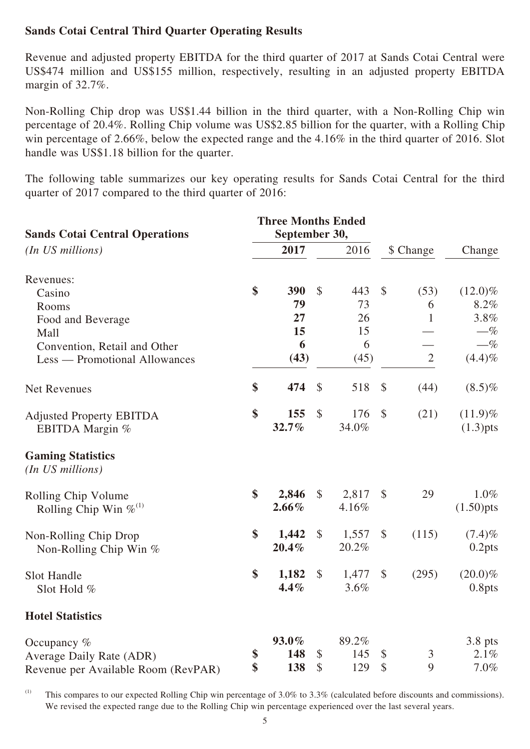#### **Sands Cotai Central Third Quarter Operating Results**

Revenue and adjusted property EBITDA for the third quarter of 2017 at Sands Cotai Central were US\$474 million and US\$155 million, respectively, resulting in an adjusted property EBITDA margin of 32.7%.

Non-Rolling Chip drop was US\$1.44 billion in the third quarter, with a Non-Rolling Chip win percentage of 20.4%. Rolling Chip volume was US\$2.85 billion for the quarter, with a Rolling Chip win percentage of 2.66%, below the expected range and the 4.16% in the third quarter of 2016. Slot handle was US\$1.18 billion for the quarter.

The following table summarizes our key operating results for Sands Cotai Central for the third quarter of 2017 compared to the third quarter of 2016:

| <b>Sands Cotai Central Operations</b><br>(In US millions) |    | <b>Three Months Ended</b><br>September 30, |                           |       |                            |                |                    |
|-----------------------------------------------------------|----|--------------------------------------------|---------------------------|-------|----------------------------|----------------|--------------------|
|                                                           |    | 2017                                       |                           | 2016  | \$ Change                  |                | Change             |
| Revenues:                                                 |    |                                            |                           |       |                            |                |                    |
| Casino                                                    | \$ | 390                                        | $\mathcal{S}$             | 443   | $\mathcal{S}$              | (53)           | $(12.0)\%$         |
| Rooms                                                     |    | 79                                         |                           | 73    |                            | 6              | 8.2%               |
| Food and Beverage                                         |    | 27                                         |                           | 26    |                            | 1              | 3.8%               |
| Mall                                                      |    | 15                                         |                           | 15    |                            |                | $-\%$              |
| Convention, Retail and Other                              |    | 6                                          |                           | 6     |                            |                | $-\%$              |
| Less — Promotional Allowances                             |    | (43)                                       |                           | (45)  |                            | $\overline{2}$ | $(4.4)\%$          |
| <b>Net Revenues</b>                                       | \$ | 474                                        | $\boldsymbol{\mathsf{S}}$ | 518   | $\boldsymbol{\mathcal{S}}$ | (44)           | $(8.5)\%$          |
| <b>Adjusted Property EBITDA</b>                           | \$ | 155                                        | $\mathcal{S}$             | 176   | $\$\$                      | (21)           | $(11.9)\%$         |
| EBITDA Margin %                                           |    | 32.7%                                      |                           | 34.0% |                            |                | $(1.3)$ pts        |
| <b>Gaming Statistics</b><br>(In US millions)              |    |                                            |                           |       |                            |                |                    |
| Rolling Chip Volume                                       | \$ | 2,846                                      | $\mathcal{S}$             | 2,817 | $\mathcal{S}$              | 29             | $1.0\%$            |
| Rolling Chip Win $\%^{(1)}$                               |    | $2.66\%$                                   |                           | 4.16% |                            |                | $(1.50)$ pts       |
| Non-Rolling Chip Drop                                     | \$ | 1,442                                      | \$                        | 1,557 | $\boldsymbol{\mathcal{S}}$ | (115)          | $(7.4)\%$          |
| Non-Rolling Chip Win %                                    |    | 20.4%                                      |                           | 20.2% |                            |                | $0.2$ pts          |
| Slot Handle                                               | \$ | 1,182                                      | $\mathcal{S}$             | 1,477 | $\boldsymbol{\mathcal{S}}$ | (295)          | $(20.0)\%$         |
| Slot Hold %                                               |    | $4.4\%$                                    |                           | 3.6%  |                            |                | 0.8 <sub>pts</sub> |
| <b>Hotel Statistics</b>                                   |    |                                            |                           |       |                            |                |                    |
| Occupancy $%$                                             |    | $93.0\%$                                   |                           | 89.2% |                            |                | 3.8 pts            |
| Average Daily Rate (ADR)                                  | \$ | 148                                        | \$                        | 145   | \$                         | 3              | 2.1%               |
| Revenue per Available Room (RevPAR)                       | \$ | 138                                        | \$                        | 129   | $\boldsymbol{\mathsf{S}}$  | 9              | 7.0%               |

(1) This compares to our expected Rolling Chip win percentage of  $3.0\%$  to  $3.3\%$  (calculated before discounts and commissions). We revised the expected range due to the Rolling Chip win percentage experienced over the last several years.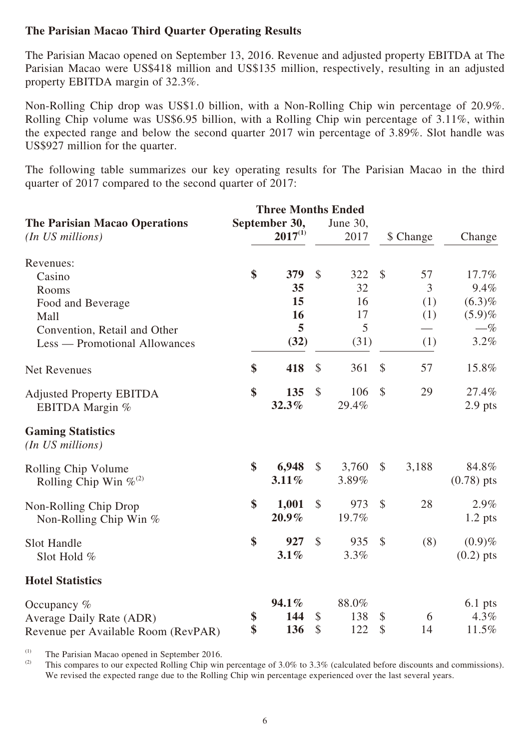#### **The Parisian Macao Third Quarter Operating Results**

The Parisian Macao opened on September 13, 2016. Revenue and adjusted property EBITDA at The Parisian Macao were US\$418 million and US\$135 million, respectively, resulting in an adjusted property EBITDA margin of 32.3%.

Non-Rolling Chip drop was US\$1.0 billion, with a Non-Rolling Chip win percentage of 20.9%. Rolling Chip volume was US\$6.95 billion, with a Rolling Chip win percentage of 3.11%, within the expected range and below the second quarter 2017 win percentage of 3.89%. Slot handle was US\$927 million for the quarter.

The following table summarizes our key operating results for The Parisian Macao in the third quarter of 2017 compared to the second quarter of 2017:

|                                                          |                               | <b>Three Months Ended</b> |                  |       |                           |       |              |
|----------------------------------------------------------|-------------------------------|---------------------------|------------------|-------|---------------------------|-------|--------------|
| <b>The Parisian Macao Operations</b><br>(In US millions) | September 30,<br>$2017^{(1)}$ |                           | June 30,<br>2017 |       | \$ Change                 |       | Change       |
| Revenues:                                                |                               |                           |                  |       |                           |       |              |
| Casino                                                   | \$                            | 379                       | $\mathcal{S}$    | 322   | $\mathcal{S}$             | 57    | 17.7%        |
| Rooms                                                    |                               | 35                        |                  | 32    |                           | 3     | 9.4%         |
| Food and Beverage                                        |                               | 15                        |                  | 16    |                           | (1)   | $(6.3)\%$    |
| Mall                                                     |                               | 16                        |                  | 17    |                           | (1)   | (5.9)%       |
| Convention, Retail and Other                             |                               | 5                         |                  | 5     |                           |       | $-\%$        |
| Less — Promotional Allowances                            |                               | (32)                      |                  | (31)  |                           | (1)   | 3.2%         |
| Net Revenues                                             | \$                            | 418                       | \$               | 361   | $\mathcal{S}$             | 57    | 15.8%        |
| <b>Adjusted Property EBITDA</b>                          | \$                            | 135                       | $\mathcal{S}$    | 106   | $\mathcal{S}$             | 29    | 27.4%        |
| EBITDA Margin %                                          |                               | 32.3%                     |                  | 29.4% |                           |       | $2.9$ pts    |
| <b>Gaming Statistics</b><br>(In US millions)             |                               |                           |                  |       |                           |       |              |
| Rolling Chip Volume                                      | \$                            | 6,948                     | $\mathcal{S}$    | 3,760 | $\boldsymbol{\mathsf{S}}$ | 3,188 | 84.8%        |
| Rolling Chip Win $\%^{(2)}$                              |                               | 3.11%                     |                  | 3.89% |                           |       | $(0.78)$ pts |
| Non-Rolling Chip Drop                                    | \$                            | 1,001                     | $\mathcal{S}$    | 973   | $\mathcal{S}$             | 28    | 2.9%         |
| Non-Rolling Chip Win $%$                                 |                               | $20.9\%$                  |                  | 19.7% |                           |       | $1.2$ pts    |
| Slot Handle                                              | \$                            | 927                       | $\mathcal{S}$    | 935   | $\mathcal{S}$             | (8)   | $(0.9)\%$    |
| Slot Hold %                                              |                               | 3.1%                      |                  | 3.3%  |                           |       | $(0.2)$ pts  |
| <b>Hotel Statistics</b>                                  |                               |                           |                  |       |                           |       |              |
| Occupancy $%$                                            |                               | 94.1%                     |                  | 88.0% |                           |       | $6.1$ pts    |
| Average Daily Rate (ADR)                                 | \$                            | 144                       | \$               | 138   | $\boldsymbol{\mathsf{S}}$ | 6     | 4.3%         |
| Revenue per Available Room (RevPAR)                      | \$                            | 136                       | \$               | 122   | \$                        | 14    | 11.5%        |

(1) The Parisian Macao opened in September 2016.

This compares to our expected Rolling Chip win percentage of 3.0% to 3.3% (calculated before discounts and commissions). We revised the expected range due to the Rolling Chip win percentage experienced over the last several years.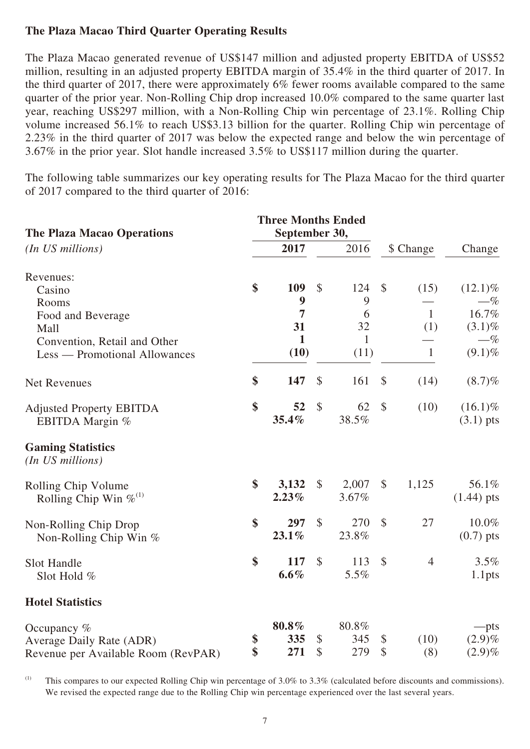#### **The Plaza Macao Third Quarter Operating Results**

The Plaza Macao generated revenue of US\$147 million and adjusted property EBITDA of US\$52 million, resulting in an adjusted property EBITDA margin of 35.4% in the third quarter of 2017. In the third quarter of 2017, there were approximately 6% fewer rooms available compared to the same quarter of the prior year. Non-Rolling Chip drop increased 10.0% compared to the same quarter last year, reaching US\$297 million, with a Non-Rolling Chip win percentage of 23.1%. Rolling Chip volume increased 56.1% to reach US\$3.13 billion for the quarter. Rolling Chip win percentage of 2.23% in the third quarter of 2017 was below the expected range and below the win percentage of 3.67% in the prior year. Slot handle increased 3.5% to US\$117 million during the quarter.

The following table summarizes our key operating results for The Plaza Macao for the third quarter of 2017 compared to the third quarter of 2016:

| <b>The Plaza Macao Operations</b>                  |    | <b>Three Months Ended</b>          |               |                       |               |                |                           |
|----------------------------------------------------|----|------------------------------------|---------------|-----------------------|---------------|----------------|---------------------------|
| (In US millions)                                   |    | 2017                               |               | September 30,<br>2016 |               | \$ Change      | Change                    |
| Revenues:                                          |    |                                    |               |                       |               |                |                           |
| Casino                                             | \$ | 109                                | $\mathcal{S}$ | 124                   | $\mathcal{S}$ | (15)           | $(12.1)\%$                |
| Rooms                                              |    | $\boldsymbol{9}$<br>$\overline{7}$ |               | 9<br>6                |               | $\mathbf{1}$   | $-\%$<br>16.7%            |
| Food and Beverage<br>Mall                          |    | 31                                 |               | 32                    |               | (1)            | $(3.1)\%$                 |
| Convention, Retail and Other                       |    | $\mathbf{1}$                       |               | $\mathbf{1}$          |               |                | $-\%$                     |
| Less — Promotional Allowances                      |    | (10)                               |               | (11)                  |               | 1              | $(9.1)\%$                 |
| <b>Net Revenues</b>                                | \$ | 147                                | $\mathcal{S}$ | 161                   | $\mathcal{S}$ | (14)           | $(8.7)\%$                 |
| <b>Adjusted Property EBITDA</b><br>EBITDA Margin % | \$ | 52<br>35.4%                        | $\$\$         | 62<br>38.5%           | $\mathcal{S}$ | (10)           | $(16.1)\%$<br>$(3.1)$ pts |
| <b>Gaming Statistics</b><br>(In US millions)       |    |                                    |               |                       |               |                |                           |
| Rolling Chip Volume                                | \$ | 3,132                              | \$            | 2,007                 | \$            | 1,125          | 56.1%                     |
| Rolling Chip Win $\%^{(1)}$                        |    | 2.23%                              |               | 3.67%                 |               |                | $(1.44)$ pts              |
| Non-Rolling Chip Drop                              | \$ | 297                                | $\mathcal{S}$ | 270                   | $\mathcal{S}$ | 27             | 10.0%                     |
| Non-Rolling Chip Win $%$                           |    | $23.1\%$                           |               | 23.8%                 |               |                | $(0.7)$ pts               |
| Slot Handle                                        | \$ | 117                                | $\mathcal{S}$ | 113                   | $\mathcal{S}$ | $\overline{4}$ | 3.5%                      |
| Slot Hold %                                        |    | 6.6%                               |               | 5.5%                  |               |                | 1.1 <sub>pts</sub>        |
| <b>Hotel Statistics</b>                            |    |                                    |               |                       |               |                |                           |
| Occupancy $%$                                      |    | $80.8\%$                           |               | 80.8%                 |               |                | --pts                     |
| Average Daily Rate (ADR)                           | \$ | 335                                | \$            | 345                   | \$            | (10)           | $(2.9)\%$                 |
| Revenue per Available Room (RevPAR)                | \$ | 271                                | \$            | 279                   | \$            | (8)            | $(2.9)\%$                 |

<sup>(1)</sup> This compares to our expected Rolling Chip win percentage of  $3.0\%$  to  $3.3\%$  (calculated before discounts and commissions). We revised the expected range due to the Rolling Chip win percentage experienced over the last several years.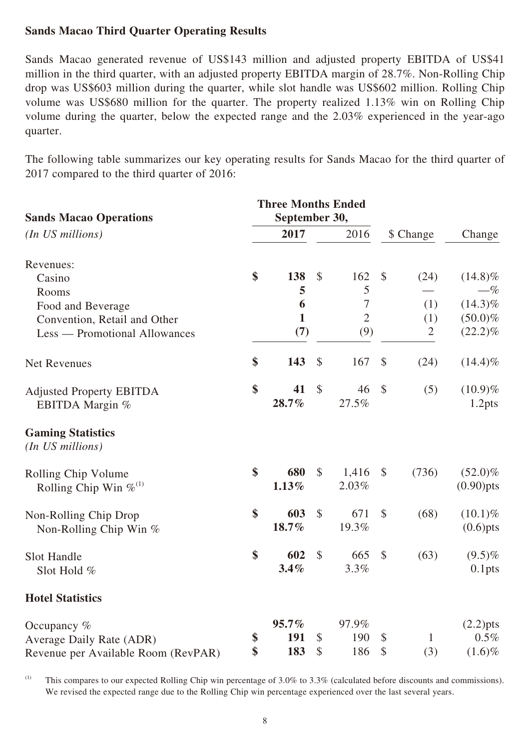#### **Sands Macao Third Quarter Operating Results**

Sands Macao generated revenue of US\$143 million and adjusted property EBITDA of US\$41 million in the third quarter, with an adjusted property EBITDA margin of 28.7%. Non-Rolling Chip drop was US\$603 million during the quarter, while slot handle was US\$602 million. Rolling Chip volume was US\$680 million for the quarter. The property realized 1.13% win on Rolling Chip volume during the quarter, below the expected range and the 2.03% experienced in the year-ago quarter.

The following table summarizes our key operating results for Sands Macao for the third quarter of 2017 compared to the third quarter of 2016:

|                                              |               | <b>Three Months Ended</b> |               |                |                           |                |                    |
|----------------------------------------------|---------------|---------------------------|---------------|----------------|---------------------------|----------------|--------------------|
| <b>Sands Macao Operations</b>                | September 30, |                           |               |                |                           |                |                    |
| (In US millions)                             |               | 2017                      |               | 2016           |                           | \$ Change      | Change             |
| Revenues:                                    |               |                           |               |                |                           |                |                    |
| Casino                                       | \$            | 138                       | $\mathcal{S}$ | 162            | $\mathcal{S}$             | (24)           | $(14.8)\%$         |
| Rooms                                        |               | 5                         |               | 5              |                           |                | $-\%$              |
| Food and Beverage                            |               | 6                         |               | $\tau$         |                           | (1)            | $(14.3)\%$         |
| Convention, Retail and Other                 |               | $\mathbf{1}$              |               | $\overline{2}$ |                           | (1)            | $(50.0)\%$         |
| Less — Promotional Allowances                |               | (7)                       |               | (9)            |                           | $\overline{2}$ | $(22.2)\%$         |
| <b>Net Revenues</b>                          | \$            | 143                       | \$            | 167            | $\boldsymbol{\mathsf{S}}$ | (24)           | $(14.4)\%$         |
| <b>Adjusted Property EBITDA</b>              | \$            | 41                        | $\mathcal{S}$ | 46             | $\mathcal{S}$             | (5)            | $(10.9)\%$         |
| EBITDA Margin %                              |               | 28.7%                     |               | 27.5%          |                           |                | 1.2 <sub>pts</sub> |
| <b>Gaming Statistics</b><br>(In US millions) |               |                           |               |                |                           |                |                    |
| Rolling Chip Volume                          | \$            | 680                       | $\$\$         | 1,416          | $\boldsymbol{\mathsf{S}}$ | (736)          | $(52.0)\%$         |
| Rolling Chip Win $\%^{(1)}$                  |               | 1.13%                     |               | 2.03%          |                           |                | $(0.90)$ pts       |
| Non-Rolling Chip Drop                        | \$            | 603                       | $\mathcal{S}$ | 671            | $\boldsymbol{\mathsf{S}}$ | (68)           | $(10.1)\%$         |
| Non-Rolling Chip Win %                       |               | 18.7%                     |               | 19.3%          |                           |                | $(0.6)$ pts        |
| Slot Handle                                  | \$            | 602                       | $\mathcal{S}$ | 665            | $\boldsymbol{\mathsf{S}}$ | (63)           | $(9.5)\%$          |
| Slot Hold %                                  |               | 3.4%                      |               | 3.3%           |                           |                | $0.1$ pts          |
| <b>Hotel Statistics</b>                      |               |                           |               |                |                           |                |                    |
| Occupancy $%$                                |               | 95.7%                     |               | 97.9%          |                           |                | $(2.2)$ pts        |
| Average Daily Rate (ADR)                     | \$            | 191                       | \$            | 190            | \$                        | $\mathbf{1}$   | 0.5%               |
| Revenue per Available Room (RevPAR)          | \$            | 183                       | \$            | 186            | \$                        | (3)            | $(1.6)\%$          |

(1) This compares to our expected Rolling Chip win percentage of  $3.0\%$  to  $3.3\%$  (calculated before discounts and commissions). We revised the expected range due to the Rolling Chip win percentage experienced over the last several years.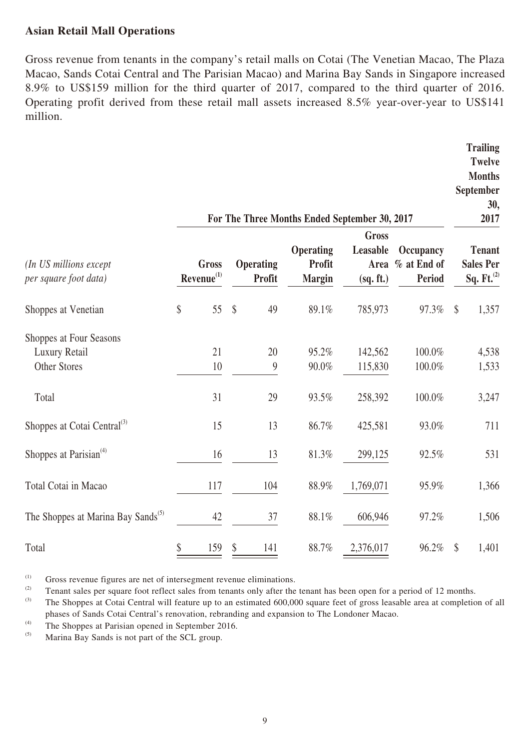#### **Asian Retail Mall Operations**

Gross revenue from tenants in the company's retail malls on Cotai (The Venetian Macao, The Plaza Macao, Sands Cotai Central and The Parisian Macao) and Marina Bay Sands in Singapore increased 8.9% to US\$159 million for the third quarter of 2017, compared to the third quarter of 2016. Operating profit derived from these retail mall assets increased 8.5% year-over-year to US\$141 million.

|                                                                 |                   | <b>Trailing</b><br><b>Twelve</b><br><b>Months</b><br>September<br>30,<br>2017 |                                 |                                             |                                               |                                           |                                                             |
|-----------------------------------------------------------------|-------------------|-------------------------------------------------------------------------------|---------------------------------|---------------------------------------------|-----------------------------------------------|-------------------------------------------|-------------------------------------------------------------|
| (In US millions except<br>per square foot data)                 |                   | <b>Gross</b><br>$Revenue^{(1)}$                                               | Operating<br>Profit             | Operating<br><b>Profit</b><br><b>Margin</b> | <b>Gross</b><br>Leasable<br>Area<br>(sq. ft.) | Occupancy<br>% at End of<br><b>Period</b> | <b>Tenant</b><br><b>Sales Per</b><br>Sq. Ft. <sup>(2)</sup> |
| Shoppes at Venetian                                             | $\boldsymbol{\S}$ | 55                                                                            | $\boldsymbol{\mathsf{S}}$<br>49 | 89.1%                                       | 785,973                                       | 97.3%                                     | $\sqrt$<br>1,357                                            |
| Shoppes at Four Seasons<br>Luxury Retail<br><b>Other Stores</b> |                   | 21<br>10                                                                      | 20<br>9                         | 95.2%<br>90.0%                              | 142,562<br>115,830                            | 100.0%<br>100.0%                          | 4,538<br>1,533                                              |
| Total                                                           |                   | 31                                                                            | 29                              | 93.5%                                       | 258,392                                       | 100.0%                                    | 3,247                                                       |
| Shoppes at Cotai Central <sup>(3)</sup>                         |                   | 15                                                                            | 13                              | 86.7%                                       | 425,581                                       | 93.0%                                     | 711                                                         |
| Shoppes at Parisian <sup>(4)</sup>                              |                   | 16                                                                            | 13                              | 81.3%                                       | 299,125                                       | 92.5%                                     | 531                                                         |
| Total Cotai in Macao                                            |                   | 117                                                                           | 104                             | 88.9%                                       | 1,769,071                                     | 95.9%                                     | 1,366                                                       |
| The Shoppes at Marina Bay Sands <sup>(5)</sup>                  |                   | 42                                                                            | 37                              | 88.1%                                       | 606,946                                       | 97.2%                                     | 1,506                                                       |
| Total                                                           | \$                | 159                                                                           | \$<br>141                       | 88.7%                                       | 2,376,017                                     | 96.2%                                     | $\boldsymbol{\mathcal{S}}$<br>1,401                         |

(1) Gross revenue figures are net of intersegment revenue eliminations.<br>(2) Gross revenue foot reflect sales from tenants only after the

(2) Tenant sales per square foot reflect sales from tenants only after the tenant has been open for a period of 12 months.<br>The Shappes of Catei Central will feature up to an estimated 600,000 square foot of grees losseble

(4) The Shoppes at Parisian opened in September 2016.<br>
Marina Bay Sands is not part of the SCL group.

Marina Bay Sands is not part of the SCL group.

The Shoppes at Cotai Central will feature up to an estimated 600,000 square feet of gross leasable area at completion of all phases of Sands Cotai Central's renovation, rebranding and expansion to The Londoner Macao.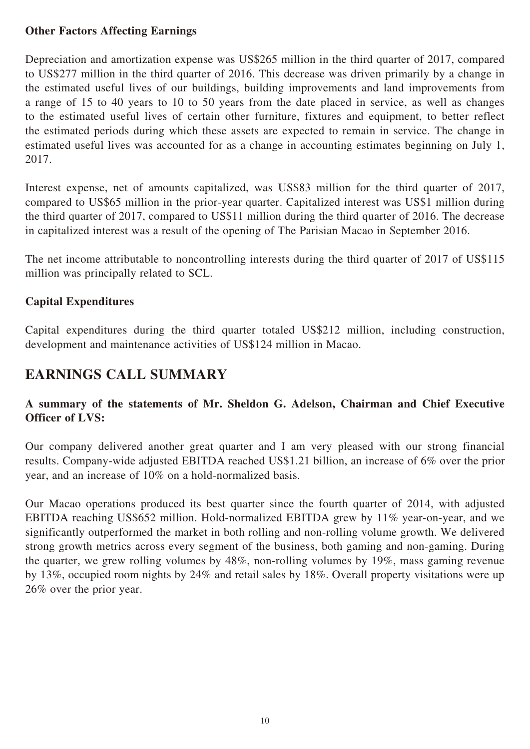#### **Other Factors Affecting Earnings**

Depreciation and amortization expense was US\$265 million in the third quarter of 2017, compared to US\$277 million in the third quarter of 2016. This decrease was driven primarily by a change in the estimated useful lives of our buildings, building improvements and land improvements from a range of 15 to 40 years to 10 to 50 years from the date placed in service, as well as changes to the estimated useful lives of certain other furniture, fixtures and equipment, to better reflect the estimated periods during which these assets are expected to remain in service. The change in estimated useful lives was accounted for as a change in accounting estimates beginning on July 1, 2017.

Interest expense, net of amounts capitalized, was US\$83 million for the third quarter of 2017, compared to US\$65 million in the prior-year quarter. Capitalized interest was US\$1 million during the third quarter of 2017, compared to US\$11 million during the third quarter of 2016. The decrease in capitalized interest was a result of the opening of The Parisian Macao in September 2016.

The net income attributable to noncontrolling interests during the third quarter of 2017 of US\$115 million was principally related to SCL.

#### **Capital Expenditures**

Capital expenditures during the third quarter totaled US\$212 million, including construction, development and maintenance activities of US\$124 million in Macao.

### **EARNINGS CALL SUMMARY**

#### **A summary of the statements of Mr. Sheldon G. Adelson, Chairman and Chief Executive Officer of LVS:**

Our company delivered another great quarter and I am very pleased with our strong financial results. Company-wide adjusted EBITDA reached US\$1.21 billion, an increase of 6% over the prior year, and an increase of 10% on a hold-normalized basis.

Our Macao operations produced its best quarter since the fourth quarter of 2014, with adjusted EBITDA reaching US\$652 million. Hold-normalized EBITDA grew by 11% year-on-year, and we significantly outperformed the market in both rolling and non-rolling volume growth. We delivered strong growth metrics across every segment of the business, both gaming and non-gaming. During the quarter, we grew rolling volumes by 48%, non-rolling volumes by 19%, mass gaming revenue by 13%, occupied room nights by 24% and retail sales by 18%. Overall property visitations were up 26% over the prior year.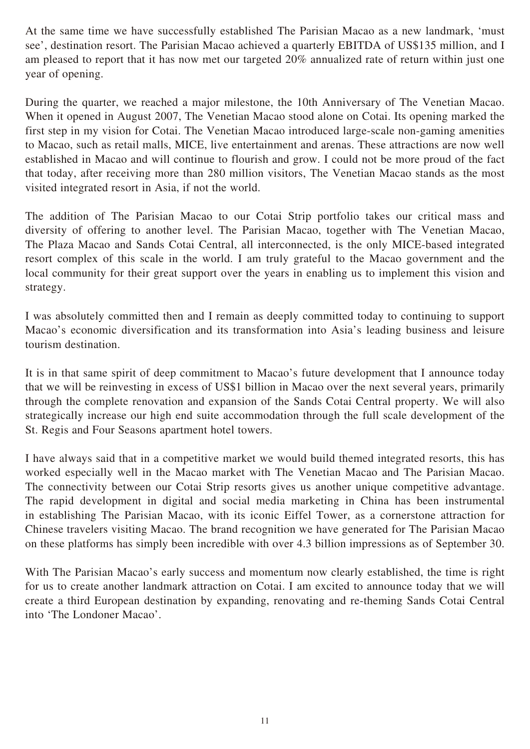At the same time we have successfully established The Parisian Macao as a new landmark, 'must see', destination resort. The Parisian Macao achieved a quarterly EBITDA of US\$135 million, and I am pleased to report that it has now met our targeted 20% annualized rate of return within just one year of opening.

During the quarter, we reached a major milestone, the 10th Anniversary of The Venetian Macao. When it opened in August 2007, The Venetian Macao stood alone on Cotai. Its opening marked the first step in my vision for Cotai. The Venetian Macao introduced large-scale non-gaming amenities to Macao, such as retail malls, MICE, live entertainment and arenas. These attractions are now well established in Macao and will continue to flourish and grow. I could not be more proud of the fact that today, after receiving more than 280 million visitors, The Venetian Macao stands as the most visited integrated resort in Asia, if not the world.

The addition of The Parisian Macao to our Cotai Strip portfolio takes our critical mass and diversity of offering to another level. The Parisian Macao, together with The Venetian Macao, The Plaza Macao and Sands Cotai Central, all interconnected, is the only MICE-based integrated resort complex of this scale in the world. I am truly grateful to the Macao government and the local community for their great support over the years in enabling us to implement this vision and strategy.

I was absolutely committed then and I remain as deeply committed today to continuing to support Macao's economic diversification and its transformation into Asia's leading business and leisure tourism destination.

It is in that same spirit of deep commitment to Macao's future development that I announce today that we will be reinvesting in excess of US\$1 billion in Macao over the next several years, primarily through the complete renovation and expansion of the Sands Cotai Central property. We will also strategically increase our high end suite accommodation through the full scale development of the St. Regis and Four Seasons apartment hotel towers.

I have always said that in a competitive market we would build themed integrated resorts, this has worked especially well in the Macao market with The Venetian Macao and The Parisian Macao. The connectivity between our Cotai Strip resorts gives us another unique competitive advantage. The rapid development in digital and social media marketing in China has been instrumental in establishing The Parisian Macao, with its iconic Eiffel Tower, as a cornerstone attraction for Chinese travelers visiting Macao. The brand recognition we have generated for The Parisian Macao on these platforms has simply been incredible with over 4.3 billion impressions as of September 30.

With The Parisian Macao's early success and momentum now clearly established, the time is right for us to create another landmark attraction on Cotai. I am excited to announce today that we will create a third European destination by expanding, renovating and re-theming Sands Cotai Central into 'The Londoner Macao'.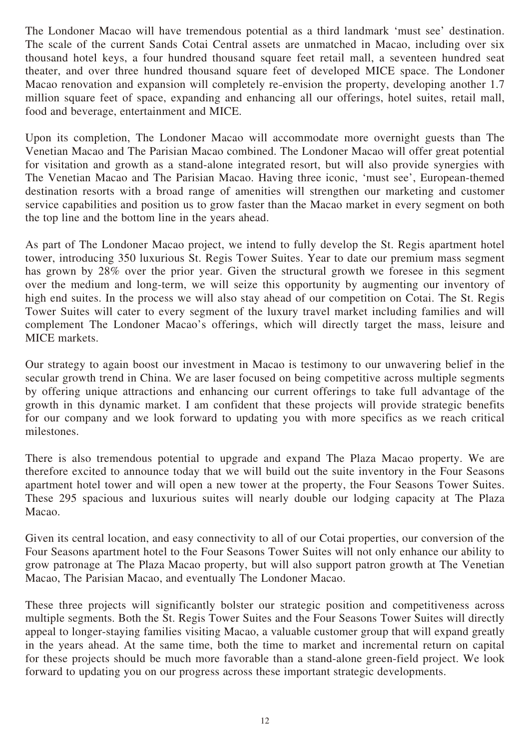The Londoner Macao will have tremendous potential as a third landmark 'must see' destination. The scale of the current Sands Cotai Central assets are unmatched in Macao, including over six thousand hotel keys, a four hundred thousand square feet retail mall, a seventeen hundred seat theater, and over three hundred thousand square feet of developed MICE space. The Londoner Macao renovation and expansion will completely re-envision the property, developing another 1.7 million square feet of space, expanding and enhancing all our offerings, hotel suites, retail mall, food and beverage, entertainment and MICE.

Upon its completion, The Londoner Macao will accommodate more overnight guests than The Venetian Macao and The Parisian Macao combined. The Londoner Macao will offer great potential for visitation and growth as a stand-alone integrated resort, but will also provide synergies with The Venetian Macao and The Parisian Macao. Having three iconic, 'must see', European-themed destination resorts with a broad range of amenities will strengthen our marketing and customer service capabilities and position us to grow faster than the Macao market in every segment on both the top line and the bottom line in the years ahead.

As part of The Londoner Macao project, we intend to fully develop the St. Regis apartment hotel tower, introducing 350 luxurious St. Regis Tower Suites. Year to date our premium mass segment has grown by 28% over the prior year. Given the structural growth we foresee in this segment over the medium and long-term, we will seize this opportunity by augmenting our inventory of high end suites. In the process we will also stay ahead of our competition on Cotai. The St. Regis Tower Suites will cater to every segment of the luxury travel market including families and will complement The Londoner Macao's offerings, which will directly target the mass, leisure and MICE markets.

Our strategy to again boost our investment in Macao is testimony to our unwavering belief in the secular growth trend in China. We are laser focused on being competitive across multiple segments by offering unique attractions and enhancing our current offerings to take full advantage of the growth in this dynamic market. I am confident that these projects will provide strategic benefits for our company and we look forward to updating you with more specifics as we reach critical milestones.

There is also tremendous potential to upgrade and expand The Plaza Macao property. We are therefore excited to announce today that we will build out the suite inventory in the Four Seasons apartment hotel tower and will open a new tower at the property, the Four Seasons Tower Suites. These 295 spacious and luxurious suites will nearly double our lodging capacity at The Plaza Macao.

Given its central location, and easy connectivity to all of our Cotai properties, our conversion of the Four Seasons apartment hotel to the Four Seasons Tower Suites will not only enhance our ability to grow patronage at The Plaza Macao property, but will also support patron growth at The Venetian Macao, The Parisian Macao, and eventually The Londoner Macao.

These three projects will significantly bolster our strategic position and competitiveness across multiple segments. Both the St. Regis Tower Suites and the Four Seasons Tower Suites will directly appeal to longer-staying families visiting Macao, a valuable customer group that will expand greatly in the years ahead. At the same time, both the time to market and incremental return on capital for these projects should be much more favorable than a stand-alone green-field project. We look forward to updating you on our progress across these important strategic developments.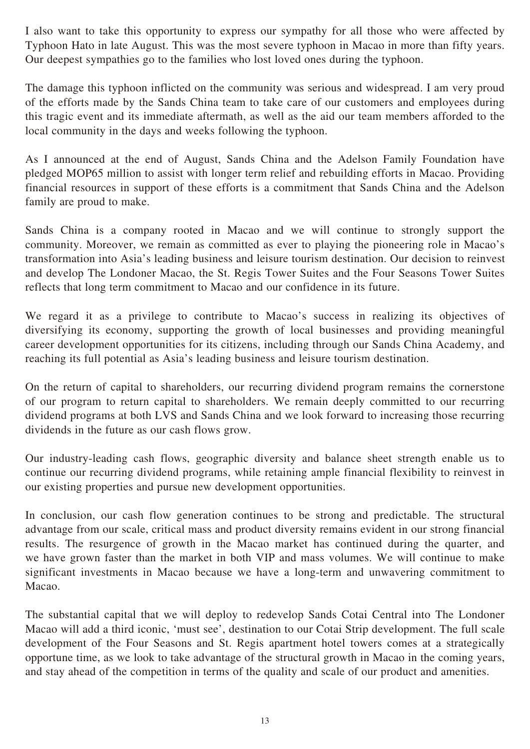I also want to take this opportunity to express our sympathy for all those who were affected by Typhoon Hato in late August. This was the most severe typhoon in Macao in more than fifty years. Our deepest sympathies go to the families who lost loved ones during the typhoon.

The damage this typhoon inflicted on the community was serious and widespread. I am very proud of the efforts made by the Sands China team to take care of our customers and employees during this tragic event and its immediate aftermath, as well as the aid our team members afforded to the local community in the days and weeks following the typhoon.

As I announced at the end of August, Sands China and the Adelson Family Foundation have pledged MOP65 million to assist with longer term relief and rebuilding efforts in Macao. Providing financial resources in support of these efforts is a commitment that Sands China and the Adelson family are proud to make.

Sands China is a company rooted in Macao and we will continue to strongly support the community. Moreover, we remain as committed as ever to playing the pioneering role in Macao's transformation into Asia's leading business and leisure tourism destination. Our decision to reinvest and develop The Londoner Macao, the St. Regis Tower Suites and the Four Seasons Tower Suites reflects that long term commitment to Macao and our confidence in its future.

We regard it as a privilege to contribute to Macao's success in realizing its objectives of diversifying its economy, supporting the growth of local businesses and providing meaningful career development opportunities for its citizens, including through our Sands China Academy, and reaching its full potential as Asia's leading business and leisure tourism destination.

On the return of capital to shareholders, our recurring dividend program remains the cornerstone of our program to return capital to shareholders. We remain deeply committed to our recurring dividend programs at both LVS and Sands China and we look forward to increasing those recurring dividends in the future as our cash flows grow.

Our industry-leading cash flows, geographic diversity and balance sheet strength enable us to continue our recurring dividend programs, while retaining ample financial flexibility to reinvest in our existing properties and pursue new development opportunities.

In conclusion, our cash flow generation continues to be strong and predictable. The structural advantage from our scale, critical mass and product diversity remains evident in our strong financial results. The resurgence of growth in the Macao market has continued during the quarter, and we have grown faster than the market in both VIP and mass volumes. We will continue to make significant investments in Macao because we have a long-term and unwavering commitment to Macao.

The substantial capital that we will deploy to redevelop Sands Cotai Central into The Londoner Macao will add a third iconic, 'must see', destination to our Cotai Strip development. The full scale development of the Four Seasons and St. Regis apartment hotel towers comes at a strategically opportune time, as we look to take advantage of the structural growth in Macao in the coming years, and stay ahead of the competition in terms of the quality and scale of our product and amenities.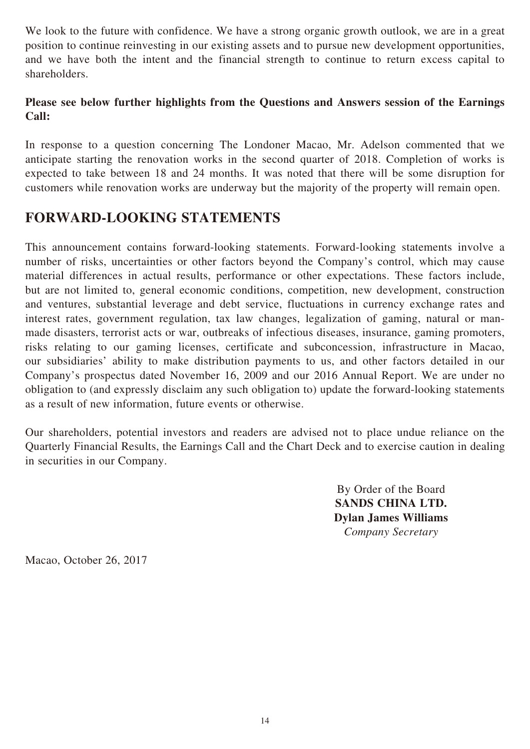We look to the future with confidence. We have a strong organic growth outlook, we are in a great position to continue reinvesting in our existing assets and to pursue new development opportunities, and we have both the intent and the financial strength to continue to return excess capital to shareholders.

#### **Please see below further highlights from the Questions and Answers session of the Earnings Call:**

In response to a question concerning The Londoner Macao, Mr. Adelson commented that we anticipate starting the renovation works in the second quarter of 2018. Completion of works is expected to take between 18 and 24 months. It was noted that there will be some disruption for customers while renovation works are underway but the majority of the property will remain open.

### **FORWARD-LOOKING STATEMENTS**

This announcement contains forward-looking statements. Forward-looking statements involve a number of risks, uncertainties or other factors beyond the Company's control, which may cause material differences in actual results, performance or other expectations. These factors include, but are not limited to, general economic conditions, competition, new development, construction and ventures, substantial leverage and debt service, fluctuations in currency exchange rates and interest rates, government regulation, tax law changes, legalization of gaming, natural or manmade disasters, terrorist acts or war, outbreaks of infectious diseases, insurance, gaming promoters, risks relating to our gaming licenses, certificate and subconcession, infrastructure in Macao, our subsidiaries' ability to make distribution payments to us, and other factors detailed in our Company's prospectus dated November 16, 2009 and our 2016 Annual Report. We are under no obligation to (and expressly disclaim any such obligation to) update the forward-looking statements as a result of new information, future events or otherwise.

Our shareholders, potential investors and readers are advised not to place undue reliance on the Quarterly Financial Results, the Earnings Call and the Chart Deck and to exercise caution in dealing in securities in our Company.

> By Order of the Board **SANDS CHINA LTD. Dylan James Williams** *Company Secretary*

Macao, October 26, 2017